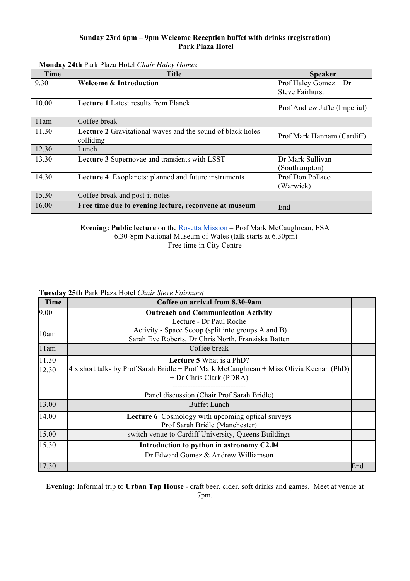## **Sunday 23rd 6pm – 9pm Welcome Reception buffet with drinks (registration) Park Plaza Hotel**

| Time  | <b>Title</b>                                                                   | <b>Speaker</b>                                  |
|-------|--------------------------------------------------------------------------------|-------------------------------------------------|
| 9.30  | <b>Welcome &amp; Introduction</b>                                              | Prof Haley Gomez + Dr<br><b>Steve Fairhurst</b> |
|       |                                                                                |                                                 |
| 10.00 | <b>Lecture 1</b> Latest results from Planck                                    | Prof Andrew Jaffe (Imperial)                    |
| 11am  | Coffee break                                                                   |                                                 |
| 11.30 | <b>Lecture 2</b> Gravitational waves and the sound of black holes<br>colliding | Prof Mark Hannam (Cardiff)                      |
| 12.30 | Lunch                                                                          |                                                 |
| 13.30 | Lecture 3 Supernovae and transients with LSST                                  | Dr Mark Sullivan                                |
|       |                                                                                | (Southampton)                                   |
| 14.30 | <b>Lecture 4</b> Exoplanets: planned and future instruments                    | Prof Don Pollaco                                |
|       |                                                                                | (Warwick)                                       |
| 15.30 | Coffee break and post-it-notes                                                 |                                                 |
| 16.00 | Free time due to evening lecture, reconvene at museum                          | End                                             |

**Monday 24th** Park Plaza Hotel *Chair Haley Gomez*

**Evening: Public lecture** on the Rosetta Mission – Prof Mark McCaughrean, ESA 6.30-8pm National Museum of Wales (talk starts at 6.30pm) Free time in City Centre

**Tuesday 25th** Park Plaza Hotel *Chair Steve Fairhurst*

| Time  | Coffee on arrival from 8.30-9am                                                         |     |
|-------|-----------------------------------------------------------------------------------------|-----|
| 9.00  | <b>Outreach and Communication Activity</b>                                              |     |
|       | Lecture - Dr Paul Roche                                                                 |     |
| 10am  | Activity - Space Scoop (split into groups A and B)                                      |     |
|       | Sarah Eve Roberts, Dr Chris North, Franziska Batten                                     |     |
| 11am  | Coffee break                                                                            |     |
| 11.30 | <b>Lecture 5</b> What is a PhD?                                                         |     |
| 12.30 | 4 x short talks by Prof Sarah Bridle + Prof Mark McCaughrean + Miss Olivia Keenan (PhD) |     |
|       | + Dr Chris Clark (PDRA)                                                                 |     |
|       |                                                                                         |     |
|       | Panel discussion (Chair Prof Sarah Bridle)                                              |     |
| 13.00 | <b>Buffet Lunch</b>                                                                     |     |
| 14.00 | <b>Lecture 6</b> Cosmology with upcoming optical surveys                                |     |
|       | Prof Sarah Bridle (Manchester)                                                          |     |
| 15.00 | switch venue to Cardiff University, Queens Buildings                                    |     |
| 15.30 | Introduction to python in astronomy C2.04                                               |     |
|       | Dr Edward Gomez & Andrew Williamson                                                     |     |
| 17.30 |                                                                                         | End |

**Evening:** Informal trip to **Urban Tap House** - craft beer, cider, soft drinks and games. Meet at venue at 7pm.